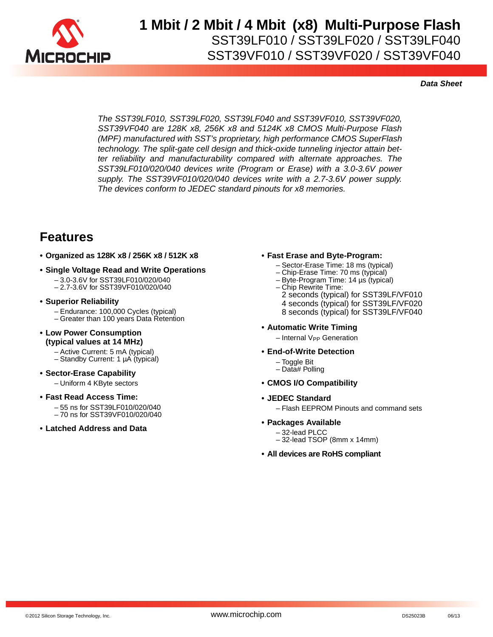

*Data Sheet*

*The SST39LF010, SST39LF020, SST39LF040 and SST39VF010, SST39VF020, SST39VF040 are 128K x8, 256K x8 and 5124K x8 CMOS Multi-Purpose Flash (MPF) manufactured with SST's proprietary, high performance CMOS SuperFlash technology. The split-gate cell design and thick-oxide tunneling injector attain better reliability and manufacturability compared with alternate approaches. The SST39LF010/020/040 devices write (Program or Erase) with a 3.0-3.6V power supply. The SST39VF010/020/040 devices write with a 2.7-3.6V power supply. The devices conform to JEDEC standard pinouts for x8 memories.*

### **Features**

- **Organized as 128K x8 / 256K x8 / 512K x8**
- **Single Voltage Read and Write Operations** – 3.0-3.6V for SST39LF010/020/040
	- 2.7-3.6V for SST39VF010/020/040
- **Superior Reliability**
	- Endurance: 100,000 Cycles (typical)
	- Greater than 100 years Data Retention
- **Low Power Consumption (typical values at 14 MHz)**
	- Active Current: 5 mA (typical)
	- Standby Current: 1 µA (typical)
- **Sector-Erase Capability** – Uniform 4 KByte sectors
- **Fast Read Access Time:** – 55 ns for SST39LF010/020/040 – 70 ns for SST39VF010/020/040
- **Latched Address and Data**

#### **• Fast Erase and Byte-Program:**

- Sector-Erase Time: 18 ms (typical)
- Chip-Erase Time: 70 ms (typical)
- Byte-Program Time: 14 µs (typical)
- Chip Rewrite Time:
- 2 seconds (typical) for SST39LF/VF010
- 4 seconds (typical) for SST39LF/VF020
- 8 seconds (typical) for SST39LF/VF040
- **Automatic Write Timing**
	- Internal V<sub>PP</sub> Generation
- **End-of-Write Detection**
	- Toggle Bit
	- Data# Polling
- **CMOS I/O Compatibility**
- **JEDEC Standard**

– Flash EEPROM Pinouts and command sets

- **Packages Available**
	- 32-lead PLCC
	- 32-lead TSOP (8mm x 14mm)
- **All devices are RoHS compliant**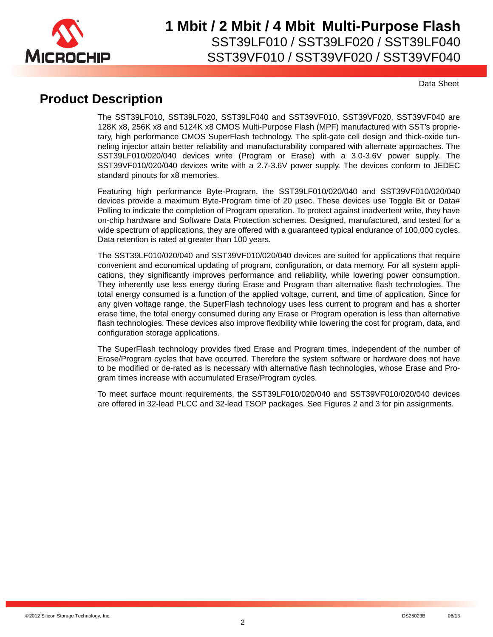

Data Sheet

### **Product Description**

The SST39LF010, SST39LF020, SST39LF040 and SST39VF010, SST39VF020, SST39VF040 are 128K x8, 256K x8 and 5124K x8 CMOS Multi-Purpose Flash (MPF) manufactured with SST's proprietary, high performance CMOS SuperFlash technology. The split-gate cell design and thick-oxide tunneling injector attain better reliability and manufacturability compared with alternate approaches. The SST39LF010/020/040 devices write (Program or Erase) with a 3.0-3.6V power supply. The SST39VF010/020/040 devices write with a 2.7-3.6V power supply. The devices conform to JEDEC standard pinouts for x8 memories.

Featuring high performance Byte-Program, the SST39LF010/020/040 and SST39VF010/020/040 devices provide a maximum Byte-Program time of 20 µsec. These devices use Toggle Bit or Data# Polling to indicate the completion of Program operation. To protect against inadvertent write, they have on-chip hardware and Software Data Protection schemes. Designed, manufactured, and tested for a wide spectrum of applications, they are offered with a guaranteed typical endurance of 100,000 cycles. Data retention is rated at greater than 100 years.

The SST39LF010/020/040 and SST39VF010/020/040 devices are suited for applications that require convenient and economical updating of program, configuration, or data memory. For all system applications, they significantly improves performance and reliability, while lowering power consumption. They inherently use less energy during Erase and Program than alternative flash technologies. The total energy consumed is a function of the applied voltage, current, and time of application. Since for any given voltage range, the SuperFlash technology uses less current to program and has a shorter erase time, the total energy consumed during any Erase or Program operation is less than alternative flash technologies. These devices also improve flexibility while lowering the cost for program, data, and configuration storage applications.

The SuperFlash technology provides fixed Erase and Program times, independent of the number of Erase/Program cycles that have occurred. Therefore the system software or hardware does not have to be modified or de-rated as is necessary with alternative flash technologies, whose Erase and Program times increase with accumulated Erase/Program cycles.

To meet surface mount requirements, the SST39LF010/020/040 and SST39VF010/020/040 devices are offered in 32-lead PLCC and 32-lead TSOP packages. See Figures 2 and 3 for pin assignments.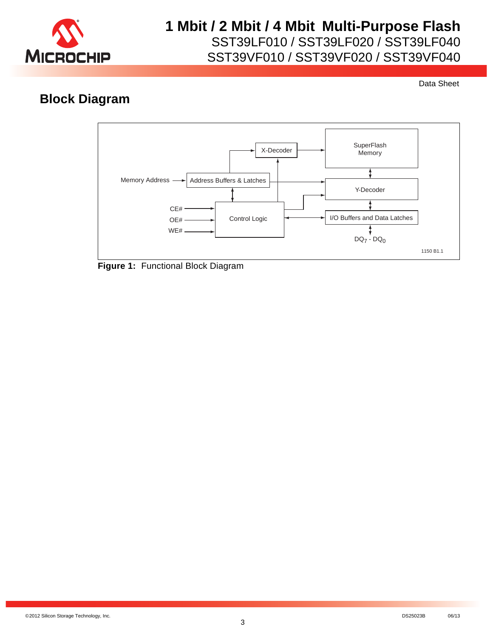

Data Sheet

## **Block Diagram**



**Figure 1:** Functional Block Diagram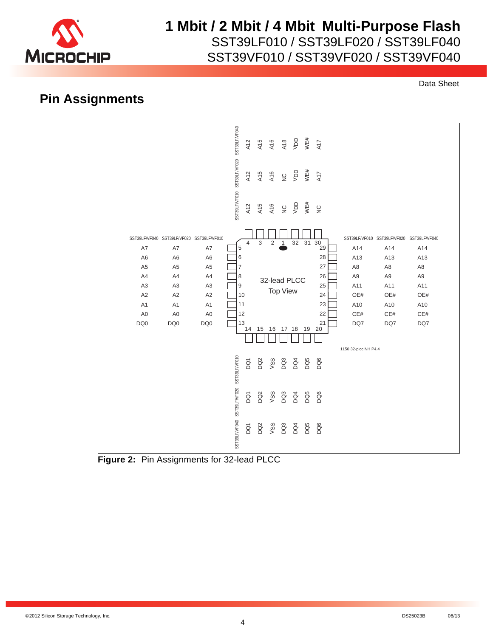

## **1 Mbit / 2 Mbit / 4 Mbit Multi-Purpose Flash**

SST39LF010 / SST39LF020 / SST39LF040

SST39VF010 / SST39VF020 / SST39VF040

Data Sheet

### **Pin Assignments**



**Figure 2:** Pin Assignments for 32-lead PLCC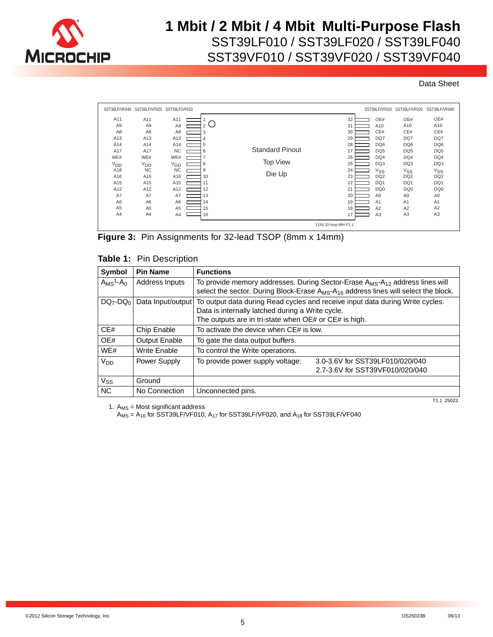

SST39VF010 / SST39VF020 / SST39VF040

Data Sheet

| SST39LF/VF040   | SST39LF/VF020   | SST39LF/VF010   |    |                        |    |                 | SST39LF/VF010 SST39LF/VF020 | SST39LF/VF040   |
|-----------------|-----------------|-----------------|----|------------------------|----|-----------------|-----------------------------|-----------------|
| A11             | A11             | A11             |    |                        | 32 | OE#             | OE#                         | OE#             |
| A <sub>9</sub>  | A <sub>9</sub>  | A9              | 2  |                        | 31 | A10             | A10                         | A10             |
| A8              | A <sub>8</sub>  | A8              | 3  |                        | 30 | CE#             | CE#                         | CE#             |
| A13             | A <sub>13</sub> | A13             | 4  |                        | 29 | DQ7             | DQ7                         | DQ7             |
| A14             | A14             | A14             | 5  |                        | 28 | DQ <sub>6</sub> | DQ <sub>6</sub>             | DQ6             |
| A17             | A17             | <b>NC</b>       | 6  | <b>Standard Pinout</b> | 27 | DQ <sub>5</sub> | DQ <sub>5</sub>             | DQ <sub>5</sub> |
| WE#             | WE#             | WE#             |    |                        | 26 | DQ4             | DQ4                         | DQ4             |
| V <sub>DD</sub> | <sup>V</sup> DD | V <sub>DD</sub> | 8  | <b>Top View</b>        | 25 | DQ3             | DQ3                         | DQ3             |
| A18             | <b>NC</b>       | <b>NC</b>       | 9  |                        | 24 | $V_{SS}$        | $V_{SS}$                    | $V_{SS}$        |
| A16             | A16             | A16             | 10 | Die Up                 | 23 | DQ <sub>2</sub> | DQ <sub>2</sub>             | DQ <sub>2</sub> |
| A15             | A15             | A15             | 11 |                        | 22 | DQ1             | DQ1                         | DQ1             |
| A12             | A12             | A12             | 12 |                        | 21 | DQ <sub>0</sub> | DQ <sub>0</sub>             | DQ0             |
| A7              | A7              | A7              | 13 |                        | 20 | A <sub>0</sub>  | A <sub>0</sub>              | A <sub>0</sub>  |
| A <sub>6</sub>  | A <sub>6</sub>  | A6              | 14 |                        | 19 | A <sub>1</sub>  | A1                          | A <sub>1</sub>  |
| A <sub>5</sub>  | A <sub>5</sub>  | A <sub>5</sub>  | 15 |                        | 18 | A2              | A2                          | A2              |
| A4              | A4              | A4              | 16 |                        | 17 | A <sub>3</sub>  | A <sub>3</sub>              | A3              |
|                 |                 |                 |    | 1150 32-tsop WH P1.1   |    |                 |                             |                 |



|  |  | Table 1: Pin Description                                                                                         |  |
|--|--|------------------------------------------------------------------------------------------------------------------|--|
|  |  | the contract the contract of the contract of the contract of the contract of the contract of the contract of the |  |

| Symbol                        | <b>Pin Name</b>                       | <b>Functions</b>                                                                                                                                                                                                    |                                                                    |  |  |  |  |
|-------------------------------|---------------------------------------|---------------------------------------------------------------------------------------------------------------------------------------------------------------------------------------------------------------------|--------------------------------------------------------------------|--|--|--|--|
| $A_{MS}$ <sup>1</sup> - $A_0$ | Address Inputs                        | To provide memory addresses. During Sector-Erase A <sub>MS</sub> -A <sub>12</sub> address lines will<br>select the sector. During Block-Erase A <sub>MS</sub> -A <sub>16</sub> address lines will select the block. |                                                                    |  |  |  |  |
|                               | DQ7-DQ <sub>0</sub> Data Input/output | To output data during Read cycles and receive input data during Write cycles.<br>Data is internally latched during a Write cycle.<br>The outputs are in tri-state when OE# or CE# is high.                          |                                                                    |  |  |  |  |
| CE#                           | Chip Enable                           | To activate the device when CE# is low.                                                                                                                                                                             |                                                                    |  |  |  |  |
| OE#                           | <b>Output Enable</b>                  | To gate the data output buffers.                                                                                                                                                                                    |                                                                    |  |  |  |  |
| WE#                           | <b>Write Enable</b>                   | To control the Write operations.                                                                                                                                                                                    |                                                                    |  |  |  |  |
| Vnn                           | Power Supply                          | To provide power supply voltage:                                                                                                                                                                                    | 3.0-3.6V for SST39LF010/020/040<br>2.7-3.6V for SST39VF010/020/040 |  |  |  |  |
| $V_{SS}$                      | Ground                                |                                                                                                                                                                                                                     |                                                                    |  |  |  |  |
| <b>NC</b>                     | No Connection                         | Unconnected pins.                                                                                                                                                                                                   |                                                                    |  |  |  |  |

1.  $A_{MS}$  = Most significant address

T1.1 25023

 $A_{MS} = A_{16}$  for SST39LF/VF010,  $A_{17}$  for SST39LF/VF020, and  $A_{18}$  for SST39LF/VF040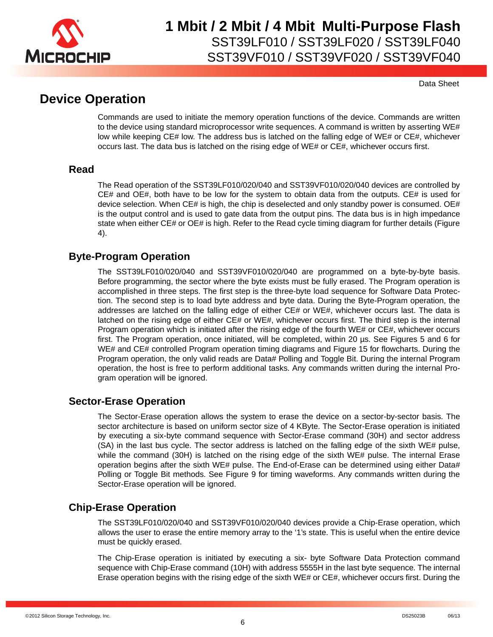

Data Sheet

### **Device Operation**

Commands are used to initiate the memory operation functions of the device. Commands are written to the device using standard microprocessor write sequences. A command is written by asserting WE# low while keeping CE# low. The address bus is latched on the falling edge of WE# or CE#, whichever occurs last. The data bus is latched on the rising edge of WE# or CE#, whichever occurs first.

### **Read**

The Read operation of the SST39LF010/020/040 and SST39VF010/020/040 devices are controlled by CE# and OE#, both have to be low for the system to obtain data from the outputs. CE# is used for device selection. When CE# is high, the chip is deselected and only standby power is consumed. OE# is the output control and is used to gate data from the output pins. The data bus is in high impedance state when either CE# or OE# is high. Refer to the Read cycle timing diagram for further details (Figure 4).

### **Byte-Program Operation**

The SST39LF010/020/040 and SST39VF010/020/040 are programmed on a byte-by-byte basis. Before programming, the sector where the byte exists must be fully erased. The Program operation is accomplished in three steps. The first step is the three-byte load sequence for Software Data Protection. The second step is to load byte address and byte data. During the Byte-Program operation, the addresses are latched on the falling edge of either CE# or WE#, whichever occurs last. The data is latched on the rising edge of either CE# or WE#, whichever occurs first. The third step is the internal Program operation which is initiated after the rising edge of the fourth WE# or CE#, whichever occurs first. The Program operation, once initiated, will be completed, within 20 µs. See Figures 5 and 6 for WE# and CE# controlled Program operation timing diagrams and Figure 15 for flowcharts. During the Program operation, the only valid reads are Data# Polling and Toggle Bit. During the internal Program operation, the host is free to perform additional tasks. Any commands written during the internal Program operation will be ignored.

### **Sector-Erase Operation**

The Sector-Erase operation allows the system to erase the device on a sector-by-sector basis. The sector architecture is based on uniform sector size of 4 KByte. The Sector-Erase operation is initiated by executing a six-byte command sequence with Sector-Erase command (30H) and sector address (SA) in the last bus cycle. The sector address is latched on the falling edge of the sixth WE# pulse, while the command (30H) is latched on the rising edge of the sixth WE# pulse. The internal Erase operation begins after the sixth WE# pulse. The End-of-Erase can be determined using either Data# Polling or Toggle Bit methods. See Figure 9 for timing waveforms. Any commands written during the Sector-Erase operation will be ignored.

### **Chip-Erase Operation**

The SST39LF010/020/040 and SST39VF010/020/040 devices provide a Chip-Erase operation, which allows the user to erase the entire memory array to the '1's state. This is useful when the entire device must be quickly erased.

The Chip-Erase operation is initiated by executing a six- byte Software Data Protection command sequence with Chip-Erase command (10H) with address 5555H in the last byte sequence. The internal Erase operation begins with the rising edge of the sixth WE# or CE#, whichever occurs first. During the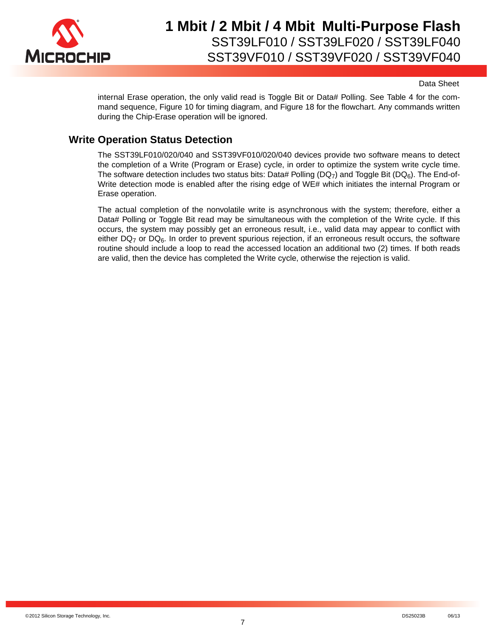

Data Sheet

internal Erase operation, the only valid read is Toggle Bit or Data# Polling. See Table 4 for the command sequence, Figure 10 for timing diagram, and Figure 18 for the flowchart. Any commands written during the Chip-Erase operation will be ignored.

### **Write Operation Status Detection**

The SST39LF010/020/040 and SST39VF010/020/040 devices provide two software means to detect the completion of a Write (Program or Erase) cycle, in order to optimize the system write cycle time. The software detection includes two status bits: Data# Polling (DQ<sub>7</sub>) and Toggle Bit (DQ<sub>6</sub>). The End-of-Write detection mode is enabled after the rising edge of WE# which initiates the internal Program or Erase operation.

The actual completion of the nonvolatile write is asynchronous with the system; therefore, either a Data# Polling or Toggle Bit read may be simultaneous with the completion of the Write cycle. If this occurs, the system may possibly get an erroneous result, i.e., valid data may appear to conflict with either  $DQ_7$  or  $DQ_6$ . In order to prevent spurious rejection, if an erroneous result occurs, the software routine should include a loop to read the accessed location an additional two (2) times. If both reads are valid, then the device has completed the Write cycle, otherwise the rejection is valid.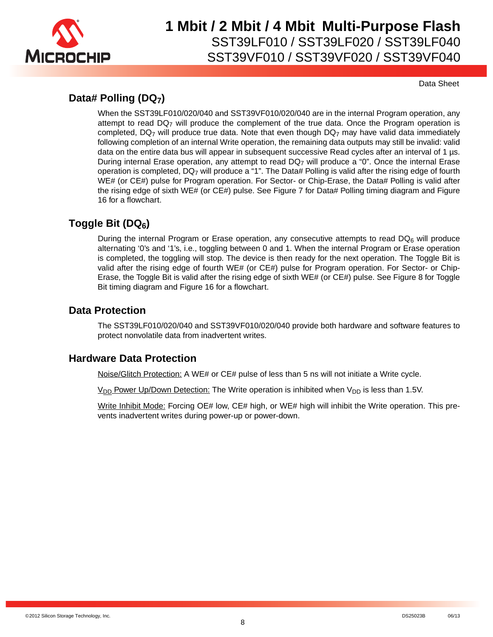

Data Sheet

### **Data# Polling (DQ7)**

When the SST39LF010/020/040 and SST39VF010/020/040 are in the internal Program operation, any attempt to read DQ7 will produce the complement of the true data. Once the Program operation is completed,  $DQ<sub>7</sub>$  will produce true data. Note that even though  $DQ<sub>7</sub>$  may have valid data immediately following completion of an internal Write operation, the remaining data outputs may still be invalid: valid data on the entire data bus will appear in subsequent successive Read cycles after an interval of 1 µs. During internal Erase operation, any attempt to read DQ7 will produce a "0". Once the internal Erase operation is completed, DQ7 will produce a "1". The Data# Polling is valid after the rising edge of fourth WE# (or CE#) pulse for Program operation. For Sector- or Chip-Erase, the Data# Polling is valid after the rising edge of sixth WE# (or CE#) pulse. See Figure 7 for Data# Polling timing diagram and Figure 16 for a flowchart.

### **Toggle Bit (DQ6)**

During the internal Program or Erase operation, any consecutive attempts to read  $DQ_6$  will produce alternating '0's and '1's, i.e., toggling between 0 and 1. When the internal Program or Erase operation is completed, the toggling will stop. The device is then ready for the next operation. The Toggle Bit is valid after the rising edge of fourth WE# (or CE#) pulse for Program operation. For Sector- or Chip-Erase, the Toggle Bit is valid after the rising edge of sixth WE# (or CE#) pulse. See Figure 8 for Toggle Bit timing diagram and Figure 16 for a flowchart.

### **Data Protection**

The SST39LF010/020/040 and SST39VF010/020/040 provide both hardware and software features to protect nonvolatile data from inadvertent writes.

### **Hardware Data Protection**

Noise/Glitch Protection: A WE# or CE# pulse of less than 5 ns will not initiate a Write cycle.

 $V_{DD}$  Power Up/Down Detection: The Write operation is inhibited when  $V_{DD}$  is less than 1.5V.

Write Inhibit Mode: Forcing OE# low, CE# high, or WE# high will inhibit the Write operation. This prevents inadvertent writes during power-up or power-down.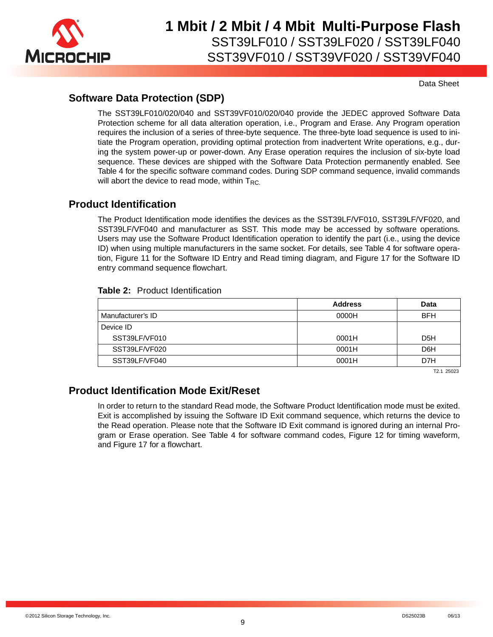

Data Sheet

### **Software Data Protection (SDP)**

The SST39LF010/020/040 and SST39VF010/020/040 provide the JEDEC approved Software Data Protection scheme for all data alteration operation, i.e., Program and Erase. Any Program operation requires the inclusion of a series of three-byte sequence. The three-byte load sequence is used to initiate the Program operation, providing optimal protection from inadvertent Write operations, e.g., during the system power-up or power-down. Any Erase operation requires the inclusion of six-byte load sequence. These devices are shipped with the Software Data Protection permanently enabled. See Table 4 for the specific software command codes. During SDP command sequence, invalid commands will abort the device to read mode, within  $T_{RC}$ .

### **Product Identification**

The Product Identification mode identifies the devices as the SST39LF/VF010, SST39LF/VF020, and SST39LF/VF040 and manufacturer as SST. This mode may be accessed by software operations. Users may use the Software Product Identification operation to identify the part (i.e., using the device ID) when using multiple manufacturers in the same socket. For details, see Table 4 for software operation, Figure 11 for the Software ID Entry and Read timing diagram, and Figure 17 for the Software ID entry command sequence flowchart.

#### **Table 2:** Product Identification

|                   | <b>Address</b> | Data             |
|-------------------|----------------|------------------|
| Manufacturer's ID | 0000H          | <b>BFH</b>       |
| Device ID         |                |                  |
| SST39LF/VF010     | 0001H          | D <sub>5</sub> H |
| SST39LF/VF020     | 0001H          | D <sub>6</sub> H |
| SST39LF/VF040     | 0001H          | D7H              |

T2.1 25023

### **Product Identification Mode Exit/Reset**

In order to return to the standard Read mode, the Software Product Identification mode must be exited. Exit is accomplished by issuing the Software ID Exit command sequence, which returns the device to the Read operation. Please note that the Software ID Exit command is ignored during an internal Program or Erase operation. See Table 4 for software command codes, Figure 12 for timing waveform, and Figure 17 for a flowchart.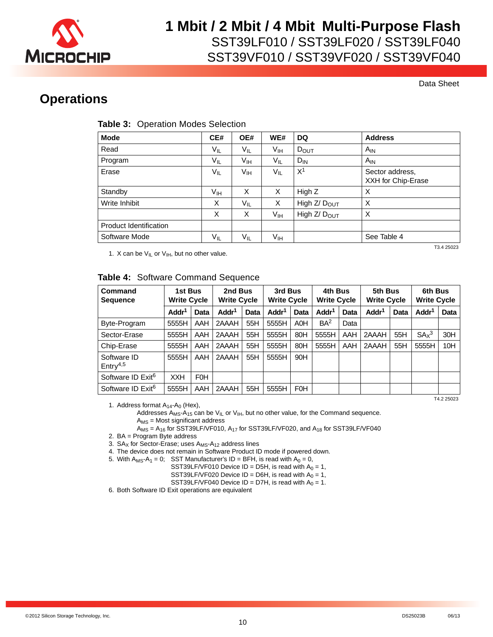

SST39VF010 / SST39VF020 / SST39VF040

Data Sheet

### **Operations**

#### **Table 3:** Operation Modes Selection

| <b>Mode</b>            | CE#             | OE#      | WE#             | DQ                       | <b>Address</b>                        |
|------------------------|-----------------|----------|-----------------|--------------------------|---------------------------------------|
| Read                   | $V_{IL}$        | $V_{IL}$ | Vıн             | $D_{OUT}$                | $A_{IN}$                              |
| Program                | $V_{IL}$        | Vıн      | $V_{IL}$        | $D_{IN}$                 | $A_{IN}$                              |
| Erase                  | $V_{IL}$        | Vıн      | $V_{IL}$        | X <sup>1</sup>           | Sector address,<br>XXH for Chip-Erase |
| Standby                | V <sub>IH</sub> | X        | X               | High Z                   | X                                     |
| Write Inhibit          | X               | $V_{IL}$ | X               | High Z/ D <sub>OUT</sub> | X                                     |
|                        | X               | X        | V <sub>IH</sub> | High $Z/DOUT$            | X                                     |
| Product Identification |                 |          |                 |                          |                                       |
| Software Mode          | $V_{IL}$        | $V_{IL}$ | Vıн             |                          | See Table 4                           |

1. X can be  $V_{I L}$  or  $V_{I H}$ , but no other value.

T3.4 25023

#### **Table 4:** Software Command Sequence

| Command<br><b>Sequence</b>             | 1st Bus<br><b>Write Cycle</b> |            | 2nd Bus<br><b>Write Cycle</b> |      | 3rd Bus<br><b>Write Cycle</b> |                  | 4th Bus<br><b>Write Cycle</b> |      | 5th Bus<br><b>Write Cycle</b> |      | 6th Bus<br><b>Write Cycle</b> |      |
|----------------------------------------|-------------------------------|------------|-------------------------------|------|-------------------------------|------------------|-------------------------------|------|-------------------------------|------|-------------------------------|------|
|                                        | Addr <sup>1</sup>             | Data       | Addr <sup>1</sup>             | Data | Addr <sup>1</sup>             | Data             | Addr <sup>1</sup>             | Data | Addr <sup>1</sup>             | Data | Addr <sup>1</sup>             | Data |
| Byte-Program                           | 5555H                         | AAH        | 2AAAH                         | 55H  | 5555H                         | A <sub>O</sub> H | BA <sup>2</sup>               | Data |                               |      |                               |      |
| Sector-Erase                           | 5555H                         | AAH        | 2AAAH                         | 55H  | 5555H                         | 80H              | 5555H                         | AAH  | 2AAAH                         | 55H  | SA <sub>x</sub> <sup>3</sup>  | 30H  |
| Chip-Erase                             | 5555H                         | AAH        | 2AAAH                         | 55H  | 5555H                         | 80H              | 5555H                         | AAH  | 2AAAH                         | 55H  | 5555H                         | 10H  |
| Software ID<br>$E$ ntry <sup>4,5</sup> | 5555H                         | AAH        | 2AAAH                         | 55H  | 5555H                         | 90H              |                               |      |                               |      |                               |      |
| Software ID Exit <sup>6</sup>          | <b>XXH</b>                    | <b>FOH</b> |                               |      |                               |                  |                               |      |                               |      |                               |      |
| Software ID Exit <sup>6</sup>          | 5555H                         | AAH        | 2AAAH                         | 55H  | 5555H                         | <b>FOH</b>       |                               |      |                               |      |                               |      |
|                                        | T4 2 25023                    |            |                               |      |                               |                  |                               |      |                               |      |                               |      |

1. Address format  $A_{14}$ - $A_0$  (Hex),

Addresses A<sub>MS</sub>-A<sub>15</sub> can be V<sub>IL</sub> or V<sub>IH</sub>, but no other value, for the Command sequence. AMS = Most significant address

 $A_{MS} = A_{16}$  for SST39LF/VF010,  $A_{17}$  for SST39LF/VF020, and  $A_{18}$  for SST39LF/VF040

2. BA = Program Byte address

3.  $SA_X$  for Sector-Erase; uses  $A_{MS} - A_{12}$  address lines

4. The device does not remain in Software Product ID mode if powered down.

5. With  $A_{MS} - A_1 = 0$ ; SST Manufacturer's ID = BFH, is read with  $A_0 = 0$ ,

SST39LF/VF010 Device ID = D5H, is read with  $A_0 = 1$ ,

SST39LF/VF020 Device ID = D6H, is read with  $A_0 = 1$ ,

SST39LF/VF040 Device ID = D7H, is read with  $A_0 = 1$ .

6. Both Software ID Exit operations are equivalent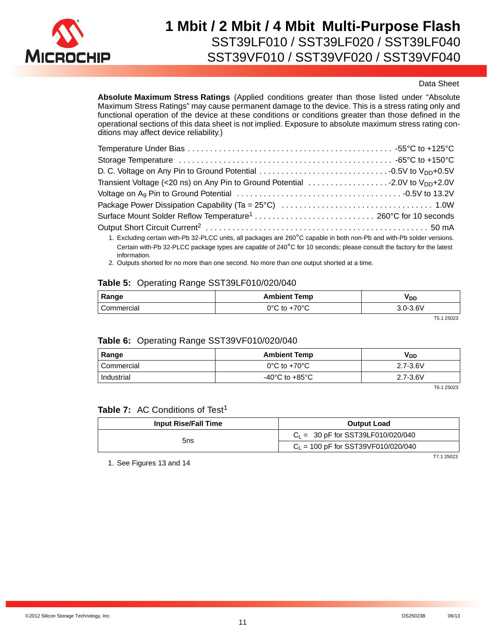

#### Data Sheet

**Absolute Maximum Stress Ratings** (Applied conditions greater than those listed under "Absolute Maximum Stress Ratings" may cause permanent damage to the device. This is a stress rating only and functional operation of the device at these conditions or conditions greater than those defined in the operational sections of this data sheet is not implied. Exposure to absolute maximum stress rating conditions may affect device reliability.)

Certain with-Pb 32-PLCC package types are capable of 240°C for 10 seconds; please consult the factory for the latest information.

2. Outputs shorted for no more than one second. No more than one output shorted at a time.

#### **Table 5:** Operating Range SST39LF010/020/040

| Range      | <b>Ambient Temp</b> | V DD     |  |  |
|------------|---------------------|----------|--|--|
| Commercial | ∙70°C<br>ገ°C to     | 3.0-3.6V |  |  |

T5.1 25023

#### **Table 6:** Operating Range SST39VF010/020/040

| Range      | <b>Ambient Temp</b>                  | V <sub>DD</sub> |  |  |
|------------|--------------------------------------|-----------------|--|--|
| Commercial | $0^{\circ}$ C to +70 $^{\circ}$ C    | $2.7 - 3.6V$    |  |  |
| Industrial | -40 $^{\circ}$ C to +85 $^{\circ}$ C | $2.7 - 3.6V$    |  |  |

T6.1 25023

#### **Table 7:** AC Conditions of Test<sup>1</sup>

| <b>Input Rise/Fall Time</b> | <b>Output Load</b>                    |  |  |  |
|-----------------------------|---------------------------------------|--|--|--|
| 5ns                         | $C_1 = 30$ pF for SST39LF010/020/040  |  |  |  |
|                             | $C_1$ = 100 pF for SST39VF010/020/040 |  |  |  |

1. See Figures 13 and 14

T7.1 25023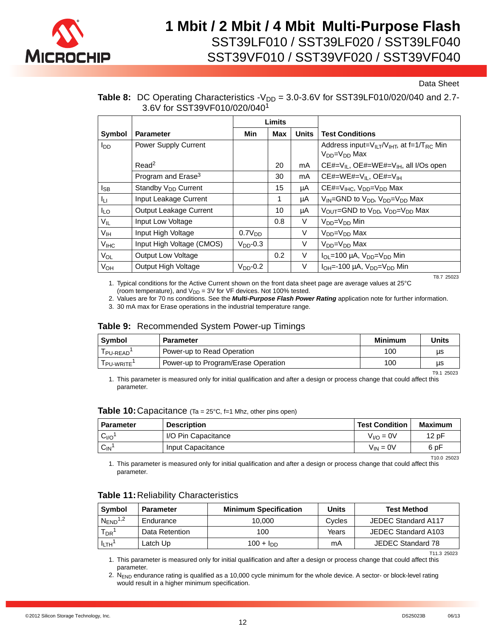

Data Sheet

#### **Table 8:** DC Operating Characteristics  $-V_{DD} = 3.0-3.6V$  for SST39LF010/020/040 and 2.7-3.6V for SST39VF010/020/040<sup>1</sup>

|                 |                                 |                    | Limits      |              |                                                                                        |
|-----------------|---------------------------------|--------------------|-------------|--------------|----------------------------------------------------------------------------------------|
| Symbol          | <b>Parameter</b>                | Min                | <b>Max</b>  | <b>Units</b> | <b>Test Conditions</b>                                                                 |
| lop             | Power Supply Current            |                    |             |              | Address input= $V_{II}T/V_{IHT}$ , at f=1/T <sub>RC</sub> Min<br>$V_{DD} = V_{DD}$ Max |
|                 | Read <sup>2</sup>               |                    | 20          | mA           | CE#=V <sub>IL</sub> , OE#=WE#=V <sub>IH</sub> , all I/Os open                          |
|                 | Program and Erase <sup>3</sup>  |                    | 30          | mA           | $CE#=WE#=V_{II}$ , $OE#=V_{IH}$                                                        |
| I <sub>SB</sub> | Standby V <sub>DD</sub> Current |                    | 15          | μA           | CE#= $V_{H C}$ , $V_{DD} = V_{DD}$ Max                                                 |
| Iμ.             | Input Leakage Current           |                    | $\mathbf 1$ | μA           | $V_{IN}$ =GND to $V_{DD}$ , $V_{DD}$ = $V_{DD}$ Max                                    |
| lLo.            | Output Leakage Current          |                    | 10          | μA           | VOUT=GND to V <sub>DD</sub> , V <sub>DD</sub> =V <sub>DD</sub> Max                     |
| $V_{IL}$        | Input Low Voltage               |                    | 0.8         | V            | Min=V <sub>DD</sub> Min                                                                |
| V <sub>IH</sub> | Input High Voltage              | 0.7V <sub>DD</sub> |             | V            | $V_{DD} = V_{DD}$ Max                                                                  |
| V <sub>HC</sub> | Input High Voltage (CMOS)       | $VDD - 0.3$        |             | V            | Mon=V <sub>DD</sub> Max                                                                |
| VOL             | <b>Output Low Voltage</b>       |                    | 0.2         | $\vee$       | $I_{OL}$ =100 µA, $V_{DD}$ = $V_{DD}$ Min                                              |
| VOH             | Output High Voltage             | $V_{DD}$ -0.2      |             | V            | $I_{OH}$ =-100 µA, $V_{DD}$ = $V_{DD}$ Min                                             |
|                 |                                 |                    |             |              | T8 7 25023                                                                             |

1. Typical conditions for the Active Current shown on the front data sheet page are average values at 25°C (room temperature), and  $V_{DD} = 3V$  for VF devices. Not 100% tested.

2. Values are for 70 ns conditions. See the *Multi-Purpose Flash Power Rating* application note for further information.

3. 30 mA max for Erase operations in the industrial temperature range.

#### **Table 9:** Recommended System Power-up Timings

| Symbol       | <b>Parameter</b>                    | <b>Minimum</b> | Units |
|--------------|-------------------------------------|----------------|-------|
| l PU-READ    | Power-up to Read Operation          | 100            | us    |
| l pu-write ' | Power-up to Program/Erase Operation | 100            | us    |

1. This parameter is measured only for initial qualification and after a design or process change that could affect this parameter. T9.1 25023

| <b>Table 10:</b> Capacitance $(Ta = 25^{\circ}C, f=1$ Mhz, other pins open) |  |
|-----------------------------------------------------------------------------|--|
|-----------------------------------------------------------------------------|--|

| <b>Parameter</b> | <b>Description</b>  | <b>Test Condition</b> | Maximum |
|------------------|---------------------|-----------------------|---------|
| C <sub>I/O</sub> | I/O Pin Capacitance | $V_{I/O} = 0V$        | 12 pF   |
| $C_{IN}$         | Input Capacitance   | $V_{IN} = 0V$         | 6 pF    |

1. This parameter is measured only for initial qualification and after a design or process change that could affect this parameter.

#### **Table 11:**Reliability Characteristics

| Symbol                   | <b>Parameter</b> | <b>Minimum Specification</b> | Units  | <b>Test Method</b>  |
|--------------------------|------------------|------------------------------|--------|---------------------|
| $N_{END}$ <sup>1,2</sup> | Endurance        | 10.000                       | Cycles | JEDEC Standard A117 |
| $T_{DR}$ <sup>1</sup>    | Data Retention   | 100                          | Years  | JEDEC Standard A103 |
| $I_{LTH}$ <sup>1</sup>   | Latch Up         | 100 + $I_{DD}$               | mA     | JEDEC Standard 78   |

1. This parameter is measured only for initial qualification and after a design or process change that could affect this parameter.

2.  $N_{END}$  endurance rating is qualified as a 10,000 cycle minimum for the whole device. A sector- or block-level rating would result in a higher minimum specification.

T10.0 25023

T11.3 25023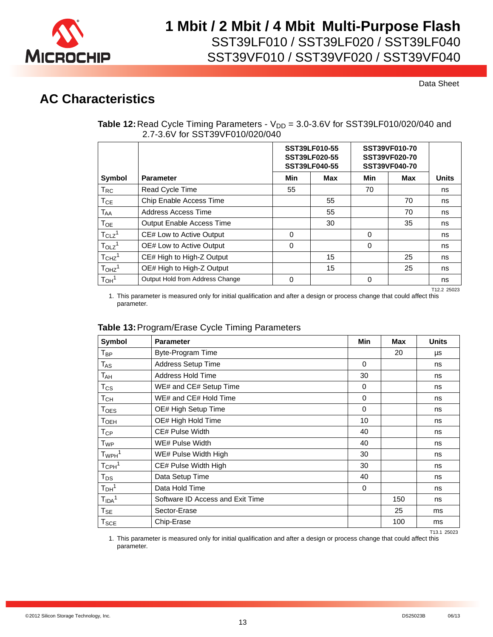

Data Sheet

### **AC Characteristics**

| <b>Table 12:</b> Read Cycle Timing Parameters - $V_{DD}$ = 3.0-3.6V for SST39LF010/020/040 and |  |
|------------------------------------------------------------------------------------------------|--|
| 2.7-3.6V for SST39VF010/020/040                                                                |  |

|                               |                                  | SST39LF010-55<br><b>SST39LF020-55</b><br><b>SST39LF040-55</b> |            | SST39VF010-70<br>SST39VF020-70<br><b>SST39VF040-70</b> |            |              |
|-------------------------------|----------------------------------|---------------------------------------------------------------|------------|--------------------------------------------------------|------------|--------------|
| Symbol                        | <b>Parameter</b>                 | Min                                                           | <b>Max</b> | Min                                                    | <b>Max</b> | <b>Units</b> |
| $T_{RC}$                      | <b>Read Cycle Time</b>           | 55                                                            |            | 70                                                     |            | ns           |
| $T_{CE}$                      | Chip Enable Access Time          |                                                               | 55         |                                                        | 70         | ns           |
| $T_{AA}$                      | Address Access Time              |                                                               | 55         |                                                        | 70         | ns           |
| Тоє                           | <b>Output Enable Access Time</b> |                                                               | 30         |                                                        | 35         | ns           |
| $T_{CLZ}$ <sup>1</sup>        | CE# Low to Active Output         | $\Omega$                                                      |            | $\Omega$                                               |            | ns           |
| $T_{OLZ}$ <sup>1</sup>        | OE# Low to Active Output         | 0                                                             |            | $\Omega$                                               |            | ns           |
| T <sub>CHZ</sub> <sup>1</sup> | CE# High to High-Z Output        |                                                               | 15         |                                                        | 25         | ns           |
| T <sub>OHZ</sub> <sup>1</sup> | OE# High to High-Z Output        |                                                               | 15         |                                                        | 25         | ns           |
| $T_{OH}$ <sup>1</sup>         | Output Hold from Address Change  | 0                                                             |            | 0                                                      |            | ns           |

T12.2 25023

1. This parameter is measured only for initial qualification and after a design or process change that could affect this parameter.

### **Table 13:**Program/Erase Cycle Timing Parameters

| Symbol                      | <b>Parameter</b>                 | Min      | <b>Max</b> | <b>Units</b> |
|-----------------------------|----------------------------------|----------|------------|--------------|
| $T_{BP}$                    | Byte-Program Time                |          | 20         | μs           |
| $T_{AS}$                    | <b>Address Setup Time</b>        | $\Omega$ |            | ns           |
| $T_{\sf AH}$                | <b>Address Hold Time</b>         | 30       |            | ns           |
| $T_{\rm CS}$                | WE# and CE# Setup Time           | $\Omega$ |            | ns           |
| T <sub>CH</sub>             | WE# and CE# Hold Time            | 0        |            | ns           |
| $\mathsf{T_{OES}}$          | OE# High Setup Time              | $\Omega$ |            | ns           |
| Т <sub>оєн</sub>            | OE# High Hold Time               | 10       |            | ns           |
| $\mathsf{T}_{\mathsf{CP}}$  | CE# Pulse Width                  | 40       |            | ns           |
| T <sub>WP</sub>             | WE# Pulse Width                  | 40       |            | ns           |
| $T_{WPH}$ <sup>1</sup>      | WE# Pulse Width High             | 30       |            | ns           |
| $T_{\text{CPH}}^1$          | CE# Pulse Width High             | 30       |            | ns           |
| $T_{DS}$                    | Data Setup Time                  | 40       |            | ns           |
| T <sub>DH</sub> 1           | Data Hold Time                   | $\Omega$ |            | ns           |
| T <sub>IDA</sub> 1          | Software ID Access and Exit Time |          | 150        | ns           |
| $T_{SE}$                    | Sector-Erase                     |          | 25         | ms           |
| $\mathsf{T}_{\mathsf{SCE}}$ | Chip-Erase                       |          | 100        | ms           |

T13.1 25023

1. This parameter is measured only for initial qualification and after a design or process change that could affect this parameter.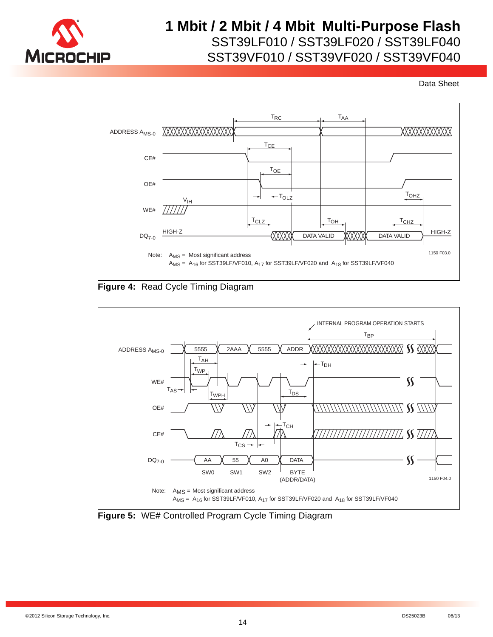



**Figure 4:** Read Cycle Timing Diagram



**Figure 5:** WE# Controlled Program Cycle Timing Diagram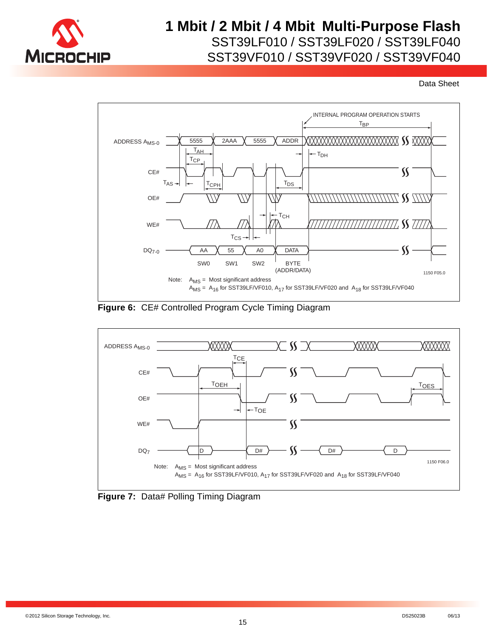



**Figure 6:** CE# Controlled Program Cycle Timing Diagram



**Figure 7: Data# Polling Timing Diagram**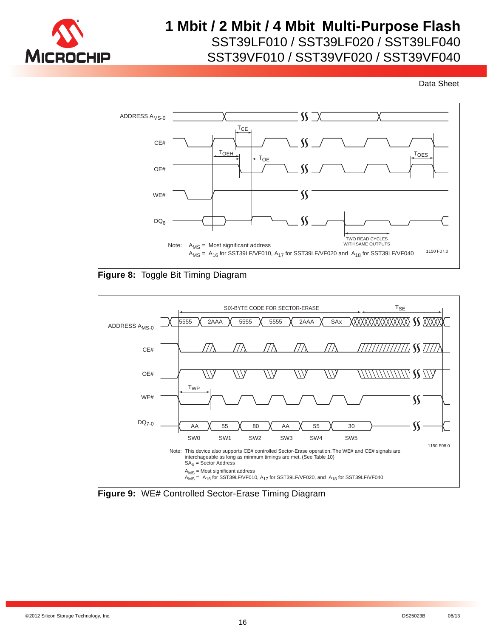

SST39VF010 / SST39VF020 / SST39VF040



**Figure 8:** Toggle Bit Timing Diagram



**Figure 9:** WE# Controlled Sector-Erase Timing Diagram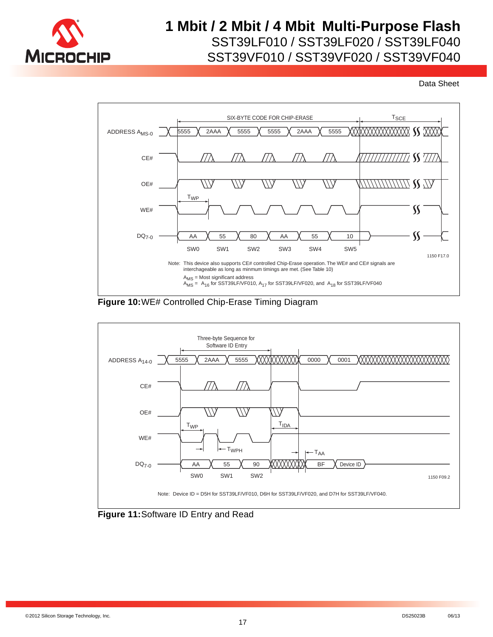







**Figure 11:**Software ID Entry and Read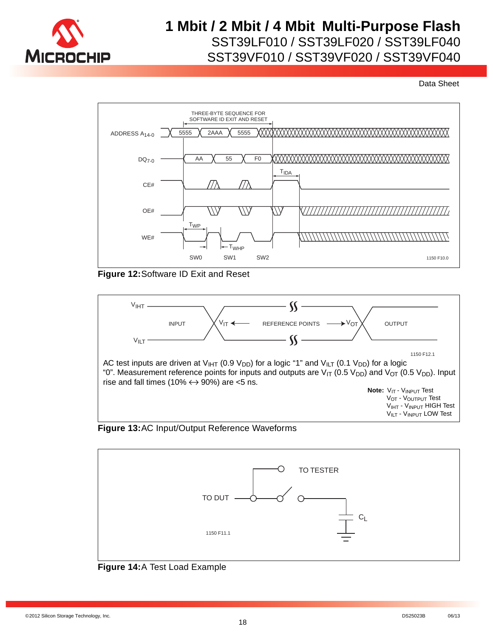

Data Sheet



**Figure 12:**Software ID Exit and Reset



#### **Figure 13:**AC Input/Output Reference Waveforms



#### **Figure 14:**A Test Load Example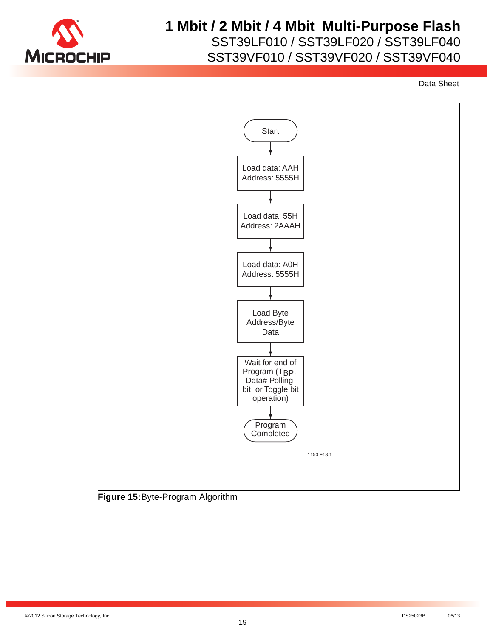

## **1 Mbit / 2 Mbit / 4 Mbit Multi-Purpose Flash**

SST39LF010 / SST39LF020 / SST39LF040

SST39VF010 / SST39VF020 / SST39VF040



©2012 Silicon Storage Technology, Inc. DS25023B 06/13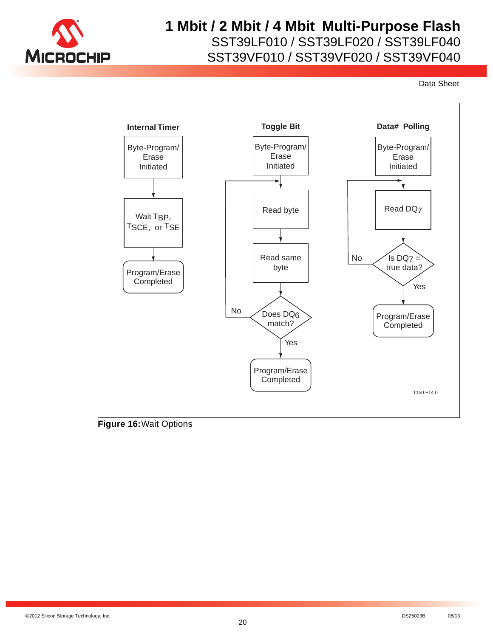

SST39VF010 / SST39VF020 / SST39VF040



**Figure 16:**Wait Options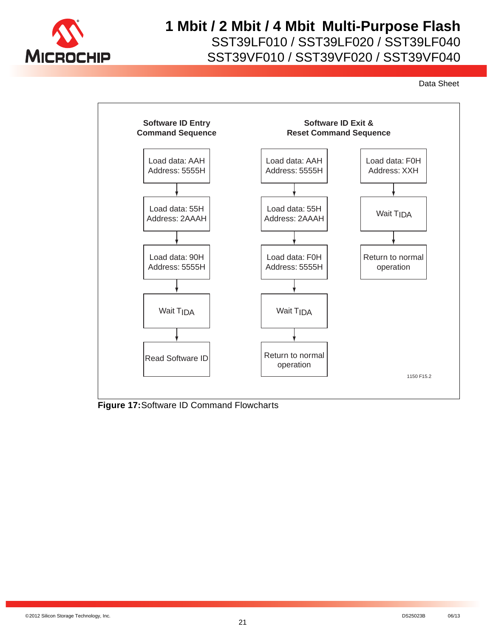

SST39VF010 / SST39VF020 / SST39VF040



**Figure 17:**Software ID Command Flowcharts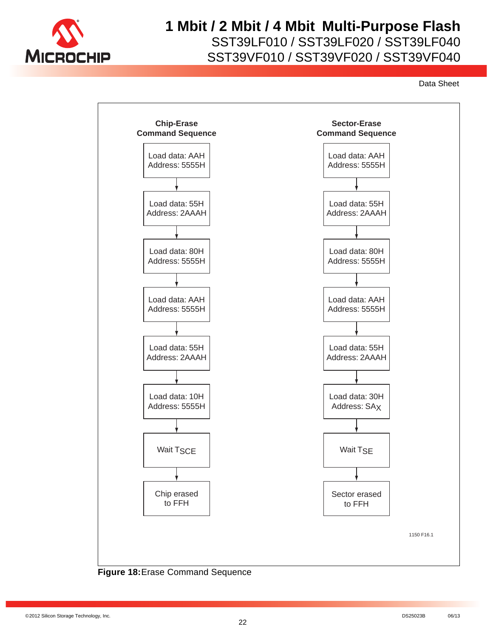

# **1 Mbit / 2 Mbit / 4 Mbit Multi-Purpose Flash**

SST39LF010 / SST39LF020 / SST39LF040

SST39VF010 / SST39VF020 / SST39VF040



**Figure 18:**Erase Command Sequence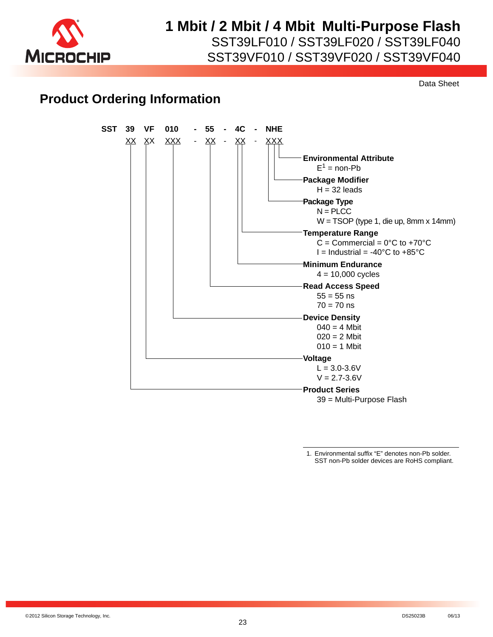

SST39VF010 / SST39VF020 / SST39VF040

Data Sheet

### **Product Ordering Information**



<sup>1.</sup> Environmental suffix "E" denotes non-Pb solder. SST non-Pb solder devices are RoHS compliant.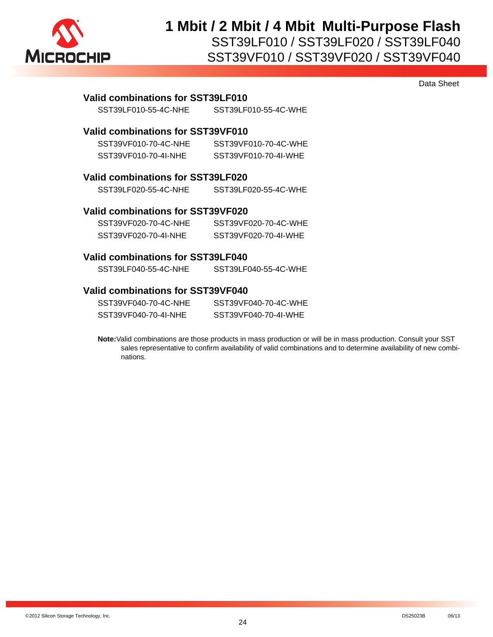

Data Sheet

| Valid combinations for SST39LF010 |                                   |  |  |  |  |
|-----------------------------------|-----------------------------------|--|--|--|--|
| SST39LF010-55-4C-NHE              | SST39LF010-55-4C-WHE              |  |  |  |  |
| Valid combinations for SST39VF010 |                                   |  |  |  |  |
| SST39VF010-70-4C-NHE              | SST39VF010-70-4C-WHE              |  |  |  |  |
| SST39VF010-70-4I-NHE              | SST39VF010-70-4I-WHE              |  |  |  |  |
|                                   | Valid combinations for SST39LF020 |  |  |  |  |
| SST39LF020-55-4C-NHE              | SST39LF020-55-4C-WHE              |  |  |  |  |
| Valid combinations for SST39VF020 |                                   |  |  |  |  |
| SST39VF020-70-4C-NHE              | SST39VF020-70-4C-WHE              |  |  |  |  |
| SST39VF020-70-4I-NHE              | SST39VF020-70-4I-WHE              |  |  |  |  |
| Valid combinations for SST39LF040 |                                   |  |  |  |  |
| SST39LF040-55-4C-NHE              | SST39LF040-55-4C-WHE              |  |  |  |  |

#### **Valid combinations for SST39VF040**

| SST39VF040-70-4C-NHE | SST39VF040-70-4C-WHE |
|----------------------|----------------------|
| SST39VF040-70-4I-NHE | SST39VF040-70-4I-WHE |

**Note:**Valid combinations are those products in mass production or will be in mass production. Consult your SST sales representative to confirm availability of valid combinations and to determine availability of new combinations.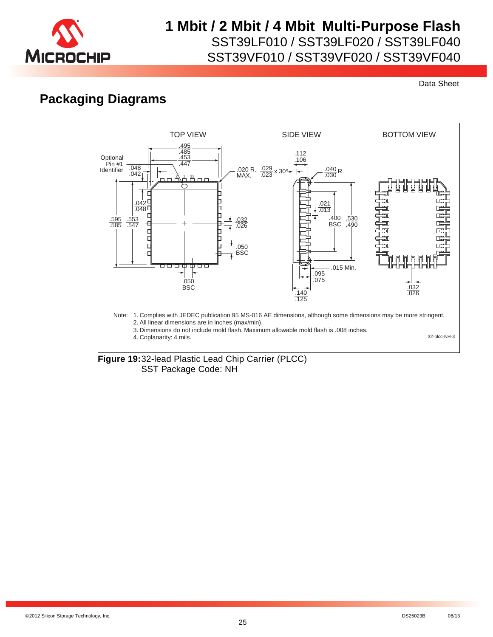

Data Sheet

## **Packaging Diagrams**



**Figure 19:**32-lead Plastic Lead Chip Carrier (PLCC) SST Package Code: NH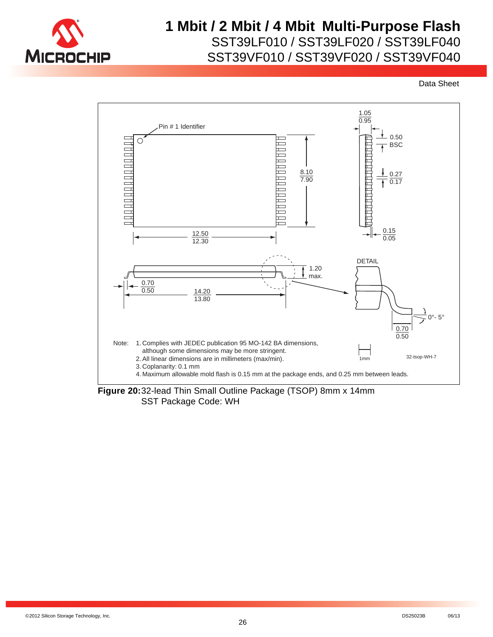



**Figure 20:**32-lead Thin Small Outline Package (TSOP) 8mm x 14mm SST Package Code: WH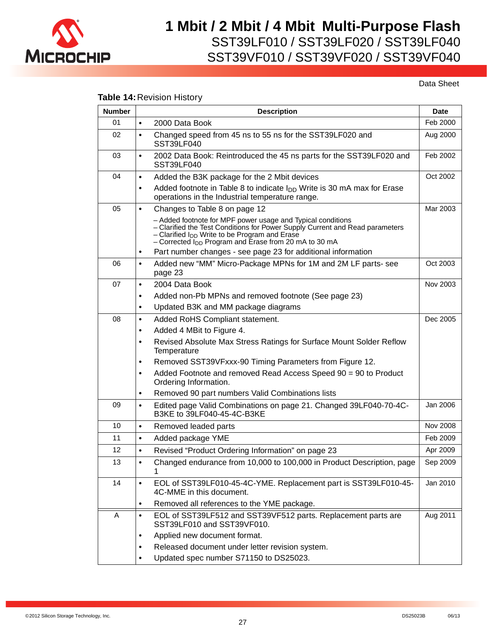

Data Sheet

### **Table 14:**Revision History

| <b>Number</b> | <b>Description</b>                                                                                                                                                                                                                                              |                 |
|---------------|-----------------------------------------------------------------------------------------------------------------------------------------------------------------------------------------------------------------------------------------------------------------|-----------------|
| 01            | $\bullet$<br>2000 Data Book                                                                                                                                                                                                                                     | Feb 2000        |
| 02            | Changed speed from 45 ns to 55 ns for the SST39LF020 and<br>$\bullet$<br><b>SST39LF040</b>                                                                                                                                                                      | Aug 2000        |
| 03            | 2002 Data Book: Reintroduced the 45 ns parts for the SST39LF020 and<br>$\bullet$<br>SST39LF040                                                                                                                                                                  | Feb 2002        |
| 04            | Added the B3K package for the 2 Mbit devices<br>$\bullet$                                                                                                                                                                                                       | Oct 2002        |
|               | Added footnote in Table 8 to indicate $I_{DD}$ Write is 30 mA max for Erase<br>$\bullet$<br>operations in the Industrial temperature range.                                                                                                                     |                 |
| 05            | $\bullet$<br>Changes to Table 8 on page 12                                                                                                                                                                                                                      | Mar 2003        |
|               | - Added footnote for MPF power usage and Typical conditions<br>- Clarified the Test Conditions for Power Supply Current and Read parameters<br>- Clarified $I_{DD}$ Write to be Program and Erase<br>- Corrected $I_{DD}$ Program and Erase from 20 mA to 30 mA |                 |
|               | Part number changes - see page 23 for additional information<br>$\bullet$                                                                                                                                                                                       |                 |
| 06            | Added new "MM" Micro-Package MPNs for 1M and 2M LF parts- see<br>$\bullet$<br>page 23                                                                                                                                                                           | Oct 2003        |
| 07            | 2004 Data Book<br>$\bullet$                                                                                                                                                                                                                                     | Nov 2003        |
|               | Added non-Pb MPNs and removed footnote (See page 23)<br>$\bullet$                                                                                                                                                                                               |                 |
|               | Updated B3K and MM package diagrams<br>٠                                                                                                                                                                                                                        |                 |
| 08            | Added RoHS Compliant statement.<br>$\bullet$                                                                                                                                                                                                                    | Dec 2005        |
|               | Added 4 MBit to Figure 4.<br>٠                                                                                                                                                                                                                                  |                 |
|               | Revised Absolute Max Stress Ratings for Surface Mount Solder Reflow<br>$\bullet$<br>Temperature                                                                                                                                                                 |                 |
|               | Removed SST39VFxxx-90 Timing Parameters from Figure 12.<br>$\bullet$                                                                                                                                                                                            |                 |
|               | Added Footnote and removed Read Access Speed 90 = 90 to Product<br>$\bullet$<br>Ordering Information.                                                                                                                                                           |                 |
|               | Removed 90 part numbers Valid Combinations lists<br>٠                                                                                                                                                                                                           |                 |
| 09            | Edited page Valid Combinations on page 21. Changed 39LF040-70-4C-<br>$\bullet$<br>B3KE to 39LF040-45-4C-B3KE                                                                                                                                                    | Jan 2006        |
| 10            | $\bullet$<br>Removed leaded parts                                                                                                                                                                                                                               | <b>Nov 2008</b> |
| 11            | Added package YME<br>$\bullet$                                                                                                                                                                                                                                  | Feb 2009        |
| 12            | Revised "Product Ordering Information" on page 23<br>$\bullet$                                                                                                                                                                                                  | Apr 2009        |
| 13            | Changed endurance from 10,000 to 100,000 in Product Description, page<br>$\bullet$<br>1                                                                                                                                                                         | Sep 2009        |
| 14            | EOL of SST39LF010-45-4C-YME. Replacement part is SST39LF010-45-<br>$\bullet$<br>4C-MME in this document.                                                                                                                                                        | Jan 2010        |
|               | Removed all references to the YME package.<br>٠                                                                                                                                                                                                                 |                 |
| A             | EOL of SST39LF512 and SST39VF512 parts. Replacement parts are<br>$\bullet$<br>SST39LF010 and SST39VF010.                                                                                                                                                        | Aug 2011        |
|               | Applied new document format.<br>٠                                                                                                                                                                                                                               |                 |
|               | Released document under letter revision system.                                                                                                                                                                                                                 |                 |
|               | Updated spec number S71150 to DS25023.                                                                                                                                                                                                                          |                 |